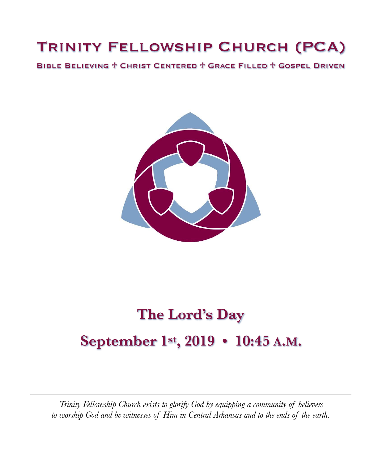## Trinity Fellowship Church (PCA)

Bible Believing ♱ Christ Centered ♱ Grace Filled ♱ Gospel Driven



# **The Lord's Day September 1st, 2019 • 10:45 A.M.**

*Trinity Fellowship Church exists to glorify God by equipping a community of believers to worship God and be witnesses of Him in Central Arkansas and to the ends of the earth.*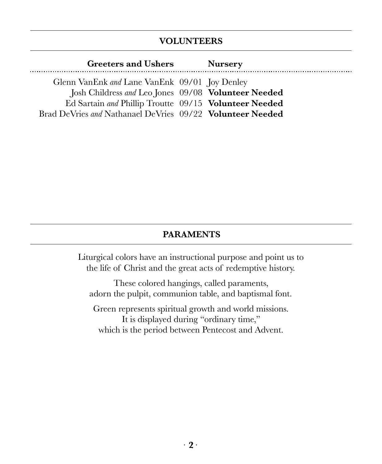### **VOLUNTEERS**

| <b>Greeters and Ushers</b>                                | <b>Nursery</b> |
|-----------------------------------------------------------|----------------|
| Glenn VanEnk and Lane VanEnk 09/01 Joy Denley             |                |
| Josh Childress and Leo Jones 09/08 Volunteer Needed       |                |
| Ed Sartain and Phillip Troutte 09/15 Volunteer Needed     |                |
| Brad DeVries and Nathanael DeVries 09/22 Volunteer Needed |                |

#### **PARAMENTS**

Liturgical colors have an instructional purpose and point us to the life of Christ and the great acts of redemptive history.

These colored hangings, called paraments, adorn the pulpit, communion table, and baptismal font.

Green represents spiritual growth and world missions. It is displayed during "ordinary time," which is the period between Pentecost and Advent.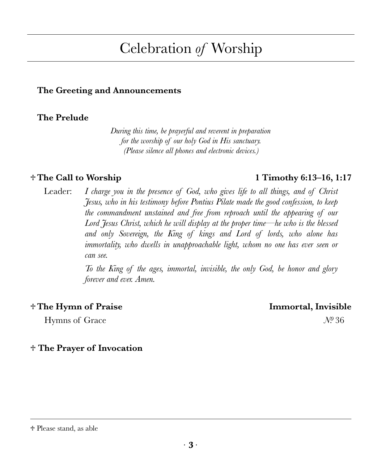# ∙ **3** ∙

#### ♱ Please stand, as able

## Celebration *of* Worship

#### **The Greeting and Announcements**

#### **The Prelude**

*During this time, be prayerful and reverent in preparation for the worship of our holy God in His sanctuary. (Please silence all phones and electronic devices.)* 

Leader: *I charge you in the presence of God, who gives life to all things, and of Christ Jesus, who in his testimony before Pontius Pilate made the good confession, to keep the commandment unstained and free from reproach until the appearing of our Lord Jesus Christ, which he will display at the proper time—he who is the blessed and only Sovereign, the King of kings and Lord of lords, who alone has immortality, who dwells in unapproachable light, whom no one has ever seen or can see.* 

> *To the King of the ages, immortal, invisible, the only God, be honor and glory forever and ever. Amen.*

#### ♱ **The Hymn of Praise Immortal, Invisible**

Hymns of Grace *Nº* 36

♱ **The Prayer of Invocation** 

#### ♱ **The Call to Worship 1 Timothy 6:13–16, 1:17**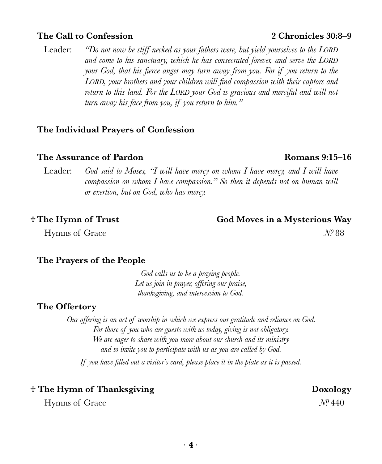#### **The Call to Confession 2 Chronicles 30:8–9**

Leader: *"Do not now be stiff-necked as your fathers were, but yield yourselves to the LORD and come to his sanctuary, which he has consecrated forever, and serve the LORD your God, that his fierce anger may turn away from you. For if you return to the LORD, your brothers and your children will find compassion with their captors and*  return to this land. For the LORD your God is gracious and merciful and will not *turn away his face from you, if you return to him."* 

#### **The Individual Prayers of Confession**

#### **The Assurance of Pardon Romans 9:15–16**

Leader: *God said to Moses, "I will have mercy on whom I have mercy, and I will have compassion on whom I have compassion." So then it depends not on human will or exertion, but on God, who has mercy.* 

Hymns of Grace *N*<sup>0</sup> 88

#### ♱ **The Hymn of Trust God Moves in a Mysterious Way**

#### **The Prayers of the People**

*God calls us to be a praying people. Let us join in prayer, offering our praise, thanksgiving, and intercession to God.* 

#### **The Offertory**

*Our offering is an act of worship in which we express our gratitude and reliance on God. For those of you who are guests with us today, giving is not obligatory. We are eager to share with you more about our church and its ministry and to invite you to participate with us as you are called by God. If you have filled out a visitor's card, please place it in the plate as it is passed.* 

#### $\dagger$  The Hymn of Thanksgiving **but the South Containst The Boxology Doxology**

Hymns of Grace *Nº* 440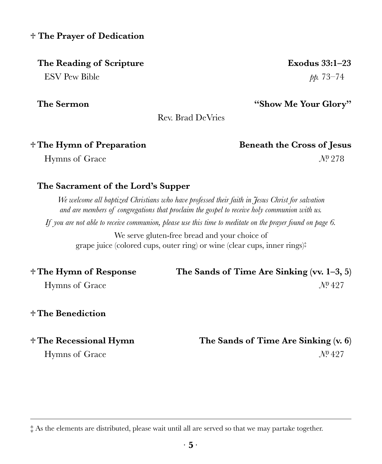#### ♱ **The Prayer of Dedication**

#### **The Reading of Scripture Exodus 33:1–23**

 $ESV$  Pew Bible  $pp. 73-74$ 

**The Sermon "Show Me Your Glory"**

♱ **The Hymn of Preparation Beneath the Cross of Jesus** 

Hymns of Grace *N*<sup>0</sup> 278

## **The Sacrament of the Lord's Supper**

*We welcome all baptized Christians who have professed their faith in Jesus Christ for salvation and are members of congregations that proclaim the gospel to receive holy communion with us.* 

Rev. Brad DeVries

*If you are not able to receive communion, please use this time to meditate on the prayer found on page 6.* 

We serve gluten-free bread and your choice of grape juice (colored cups, outer ring) or wine (clear cups, inner rings)‡

| † The Hymn of Response | The Sands of Time Are Sinking (vv. $1-3, 5$ ) |
|------------------------|-----------------------------------------------|
| Hymns of Grace         | $N^{0}427$                                    |

### ♱ **The Benediction**

‡ As the elements are distributed, please wait until all are served so that we may partake together.

## ♱ **The Recessional Hymn The Sands of Time Are Sinking (v. 6)**  Hymns of Grace *Nº* 427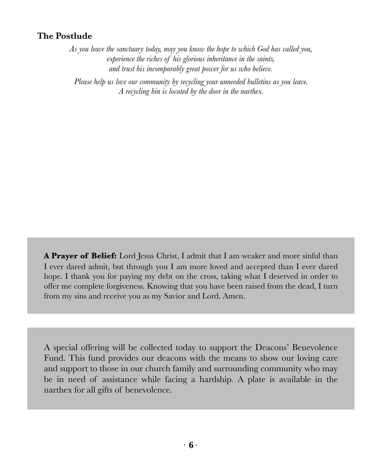#### **The Postlude**

*As you leave the sanctuary today, may you know the hope to which God has called you, experience the riches of his glorious inheritance in the saints, and trust his incomparably great power for us who believe.* 

*Please help us love our community by recycling your unneeded bulletins as you leave. A recycling bin is located by the door in the narthex.*

**A Prayer of Belief:** Lord Jesus Christ, I admit that I am weaker and more sinful than I ever dared admit, but through you I am more loved and accepted than I ever dared hope. I thank you for paying my debt on the cross, taking what I deserved in order to offer me complete forgiveness. Knowing that you have been raised from the dead, I turn from my sins and receive you as my Savior and Lord. Amen.

A special offering will be collected today to support the Deacons' Benevolence Fund. This fund provides our deacons with the means to show our loving care and support to those in our church family and surrounding community who may be in need of assistance while facing a hardship. A plate is available in the narthex for all gifts of benevolence.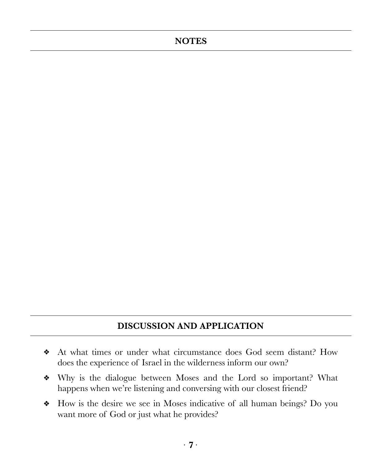#### **NOTES**

### **DISCUSSION AND APPLICATION**

- At what times or under what circumstance does God seem distant? How does the experience of Israel in the wilderness inform our own?
- Why is the dialogue between Moses and the Lord so important? What happens when we're listening and conversing with our closest friend?
- How is the desire we see in Moses indicative of all human beings? Do you  $\frac{1}{2}$ want more of God or just what he provides?